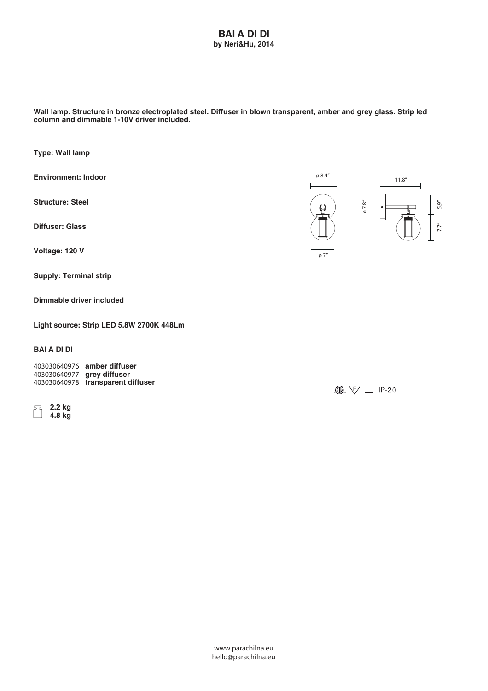## **BAI A DI DI by Neri&Hu, 2014**

**Wall lamp. Structure in bronze electroplated steel. Diffuser in blown transparent, amber and grey glass. Strip led column and dimmable 1-10V driver included.**

**Type: Wall lamp**

**Environment: Indoor**

**Structure: Steel**

**Diffuser: Glass**

**Voltage: 120 V**

**Supply: Terminal strip**

**Dimmable driver included**

**Light source: Strip LED 5.8W 2700K 448Lm**

## **BAI A DI DI**

**403030640976 amber diffuser 403030640977 grey diffuser 403030640978 transparent diffuser**

 **2.2 kg 4.8 kg**



 $\bigcirc$   $\overline{\mathbb{W}}$   $\overline{\mathbb{V}}$   $\perp$  IP-20